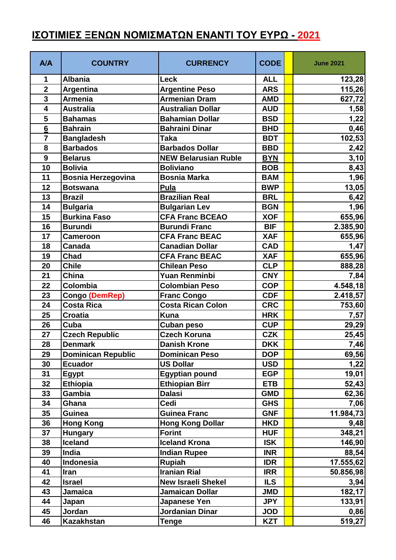## **ΙΣΟΤΙΜΙΕΣ ΞΕΝΩΝ ΝΟΜΙΣΜΑΤΩΝ ΕΝΑΝΤΙ ΤΟΥ ΕΥΡΩ - 2021**

| A/A                     | <b>COUNTRY</b>            | <b>CURRENCY</b>             | <b>CODE</b> | <b>June 2021</b> |
|-------------------------|---------------------------|-----------------------------|-------------|------------------|
| 1                       | <b>Albania</b>            | <b>Leck</b>                 | <b>ALL</b>  | 123,28           |
| $\overline{\mathbf{2}}$ | Argentina                 | <b>Argentine Peso</b>       | <b>ARS</b>  | 115,26           |
| $\overline{\mathbf{3}}$ | <b>Armenia</b>            | <b>Armenian Dram</b>        | <b>AMD</b>  | 627,72           |
| $\overline{\mathbf{4}}$ | <b>Australia</b>          | <b>Australian Dollar</b>    | <b>AUD</b>  | 1,58             |
| 5                       | <b>Bahamas</b>            | <b>Bahamian Dollar</b>      | <b>BSD</b>  | 1,22             |
| 6                       | <b>Bahrain</b>            | <b>Bahraini Dinar</b>       | <b>BHD</b>  | 0,46             |
| $\overline{7}$          | <b>Bangladesh</b>         | <b>Taka</b>                 | <b>BDT</b>  | 102,53           |
| 8                       | <b>Barbados</b>           | <b>Barbados Dollar</b>      | <b>BBD</b>  | 2,42             |
| 9                       | <b>Belarus</b>            | <b>NEW Belarusian Ruble</b> | <b>BYN</b>  | 3,10             |
| 10                      | <b>Bolivia</b>            | <b>Boliviano</b>            | <b>BOB</b>  | 8,43             |
| 11                      | <b>Bosnia Herzegovina</b> | <b>Bosnia Marka</b>         | <b>BAM</b>  | 1,96             |
| 12                      | <b>Botswana</b>           | Pula                        | <b>BWP</b>  | 13,05            |
| 13                      | <b>Brazil</b>             | <b>Brazilian Real</b>       | <b>BRL</b>  | 6,42             |
| 14                      | <b>Bulgaria</b>           | <b>Bulgarian Lev</b>        | <b>BGN</b>  | 1,96             |
| 15                      | <b>Burkina Faso</b>       | <b>CFA Franc BCEAO</b>      | <b>XOF</b>  | 655,96           |
| 16                      | <b>Burundi</b>            | <b>Burundi Franc</b>        | <b>BIF</b>  | 2.385,90         |
| 17                      | <b>Cameroon</b>           | <b>CFA Franc BEAC</b>       | <b>XAF</b>  | 655,96           |
| 18                      | Canada                    | <b>Canadian Dollar</b>      | <b>CAD</b>  | 1,47             |
| 19                      | Chad                      | <b>CFA Franc BEAC</b>       | <b>XAF</b>  | 655,96           |
| 20                      | <b>Chile</b>              | <b>Chilean Peso</b>         | <b>CLP</b>  | 888,28           |
| 21                      | China                     | <b>Yuan Renminbi</b>        | <b>CNY</b>  | 7,84             |
| 22                      | Colombia                  | <b>Colombian Peso</b>       | <b>COP</b>  | 4.548,18         |
| 23                      | Congo (DemRep)            | <b>Franc Congo</b>          | <b>CDF</b>  | 2.418,57         |
| 24                      | <b>Costa Rica</b>         | <b>Costa Rican Colon</b>    | <b>CRC</b>  | 753,60           |
| 25                      | <b>Croatia</b>            | <b>Kuna</b>                 | <b>HRK</b>  | 7,57             |
| 26                      | Cuba                      | <b>Cuban peso</b>           | <b>CUP</b>  | 29,29            |
| 27                      | <b>Czech Republic</b>     | <b>Czech Koruna</b>         | <b>CZK</b>  | 25,45            |
| 28                      | <b>Denmark</b>            | <b>Danish Krone</b>         | <b>DKK</b>  | 7,46             |
| 29                      | <b>Dominican Republic</b> | <b>Dominican Peso</b>       | <b>DOP</b>  | 69,56            |
| 30                      | <b>Ecuador</b>            | <b>US Dollar</b>            | <b>USD</b>  | 1,22             |
| 31                      | Egypt                     | <b>Egyptian pound</b>       | <b>EGP</b>  | 19,01            |
| 32                      | <b>Ethiopia</b>           | <b>Ethiopian Birr</b>       | <b>ETB</b>  | 52,43            |
| 33                      | Gambia                    | <b>Dalasi</b>               | <b>GMD</b>  | 62,36            |
| 34                      | Ghana                     | Cedi                        | <b>GHS</b>  | 7,06             |
| 35                      | <b>Guinea</b>             | <b>Guinea Franc</b>         | <b>GNF</b>  | 11.984,73        |
| 36                      | <b>Hong Kong</b>          | <b>Hong Kong Dollar</b>     | <b>HKD</b>  | 9,48             |
| 37                      | <b>Hungary</b>            | <b>Forint</b>               | <b>HUF</b>  | 348,21           |
| 38                      | <b>Iceland</b>            | <b>Iceland Krona</b>        | <b>ISK</b>  | 146,90           |
| 39                      | India                     | <b>Indian Rupee</b>         | <b>INR</b>  | 88,54            |
| 40                      | <b>Indonesia</b>          | Rupiah                      | <b>IDR</b>  | 17.555,62        |
| 41                      | Iran                      | <b>Iranian Rial</b>         | <b>IRR</b>  | 50.856,98        |
| 42                      | <b>Israel</b>             | <b>New Israeli Shekel</b>   | <b>ILS</b>  | 3,94             |
| 43                      | Jamaica                   | <b>Jamaican Dollar</b>      | <b>JMD</b>  | 182,17           |
| 44                      | Japan                     | Japanese Yen                | <b>JPY</b>  | 133,91           |
| 45                      | Jordan                    | Jordanian Dinar             | <b>JOD</b>  | 0,86             |
| 46                      | <b>Kazakhstan</b>         | Tenge                       | <b>KZT</b>  | 519,27           |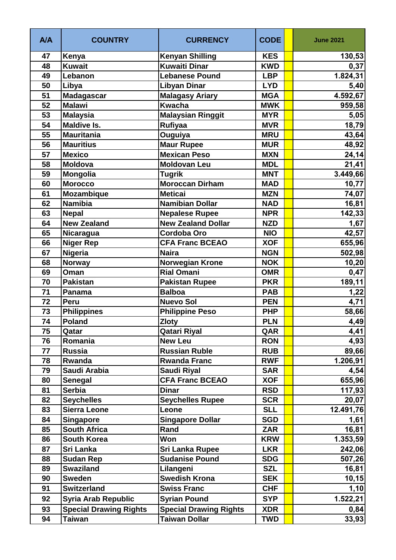| A/A | <b>COUNTRY</b>                | <b>CURRENCY</b>               | <b>CODE</b> | <b>June 2021</b> |
|-----|-------------------------------|-------------------------------|-------------|------------------|
| 47  | Kenya                         | <b>Kenyan Shilling</b>        | <b>KES</b>  | 130,53           |
| 48  | <b>Kuwait</b>                 | <b>Kuwaiti Dinar</b>          | <b>KWD</b>  | 0,37             |
| 49  | Lebanon                       | <b>Lebanese Pound</b>         | <b>LBP</b>  | 1.824,31         |
| 50  | Libya                         | <b>Libyan Dinar</b>           | <b>LYD</b>  | 5,40             |
| 51  | <b>Madagascar</b>             | <b>Malagasy Ariary</b>        | <b>MGA</b>  | 4.592,67         |
| 52  | <b>Malawi</b>                 | <b>Kwacha</b>                 | <b>MWK</b>  | 959,58           |
| 53  | <b>Malaysia</b>               | <b>Malaysian Ringgit</b>      | <b>MYR</b>  | 5,05             |
| 54  | <b>Maldive Is.</b>            | <b>Rufiyaa</b>                | <b>MVR</b>  | 18,79            |
| 55  | <b>Mauritania</b>             | Ouguiya                       | <b>MRU</b>  | 43,64            |
| 56  | <b>Mauritius</b>              | <b>Maur Rupee</b>             | <b>MUR</b>  | 48,92            |
| 57  | <b>Mexico</b>                 | <b>Mexican Peso</b>           | <b>MXN</b>  | 24,14            |
| 58  | <b>Moldova</b>                | <b>Moldovan Leu</b>           | <b>MDL</b>  | 21,41            |
| 59  | Mongolia                      | <b>Tugrik</b>                 | <b>MNT</b>  | 3.449,66         |
| 60  | <b>Morocco</b>                | <b>Moroccan Dirham</b>        | <b>MAD</b>  | 10,77            |
| 61  | <b>Mozambique</b>             | <b>Meticai</b>                | <b>MZN</b>  | 74,07            |
| 62  | <b>Namibia</b>                | <b>Namibian Dollar</b>        | <b>NAD</b>  | 16,81            |
| 63  | <b>Nepal</b>                  | <b>Nepalese Rupee</b>         | <b>NPR</b>  | 142,33           |
| 64  | <b>New Zealand</b>            | <b>New Zealand Dollar</b>     | <b>NZD</b>  | 1,67             |
| 65  | Nicaragua                     | <b>Cordoba Oro</b>            | <b>NIO</b>  | 42,57            |
| 66  | <b>Niger Rep</b>              | <b>CFA Franc BCEAO</b>        | <b>XOF</b>  | 655,96           |
| 67  | Nigeria                       | <b>Naira</b>                  | <b>NGN</b>  | 502,98           |
| 68  | <b>Norway</b>                 | <b>Norwegian Krone</b>        | <b>NOK</b>  | 10,20            |
| 69  | Oman                          | <b>Rial Omani</b>             | <b>OMR</b>  | 0,47             |
| 70  | <b>Pakistan</b>               | <b>Pakistan Rupee</b>         | <b>PKR</b>  | 189,11           |
| 71  | Panama                        | <b>Balboa</b>                 | <b>PAB</b>  | 1,22             |
| 72  | Peru                          | <b>Nuevo Sol</b>              | <b>PEN</b>  | 4,71             |
| 73  | <b>Philippines</b>            | <b>Philippine Peso</b>        | <b>PHP</b>  | 58,66            |
| 74  | <b>Poland</b>                 | <b>Zloty</b>                  | <b>PLN</b>  | 4,49             |
| 75  | Qatar                         | <b>Qatari Riyal</b>           | QAR         | 4,41             |
| 76  | Romania                       | <b>New Leu</b>                | <b>RON</b>  | 4,93             |
| 77  | <b>Russia</b>                 | <b>Russian Ruble</b>          | <b>RUB</b>  | 89,66            |
| 78  | Rwanda                        | <b>Rwanda Franc</b>           | <b>RWF</b>  | 1.206,91         |
| 79  | Saudi Arabia                  | Saudi Riyal                   | <b>SAR</b>  | 4,54             |
| 80  | Senegal                       | <b>CFA Franc BCEAO</b>        | <b>XOF</b>  | 655,96           |
| 81  | <b>Serbia</b>                 | <b>Dinar</b>                  | <b>RSD</b>  | 117,93           |
| 82  | <b>Seychelles</b>             | <b>Seychelles Rupee</b>       | <b>SCR</b>  | 20,07            |
| 83  | <b>Sierra Leone</b>           | Leone                         | <b>SLL</b>  | 12.491,76        |
| 84  | <b>Singapore</b>              | <b>Singapore Dollar</b>       | <b>SGD</b>  | 1,61             |
| 85  | <b>South Africa</b>           | Rand                          | <b>ZAR</b>  | 16,81            |
| 86  | <b>South Korea</b>            | Won                           | <b>KRW</b>  | 1.353,59         |
| 87  | <b>Sri Lanka</b>              | Sri Lanka Rupee               | <b>LKR</b>  | 242,06           |
| 88  | <b>Sudan Rep</b>              | <b>Sudanise Pound</b>         | <b>SDG</b>  | 507,26           |
| 89  | <b>Swaziland</b>              | Lilangeni                     | <b>SZL</b>  | 16,81            |
| 90  | <b>Sweden</b>                 | <b>Swedish Krona</b>          | <b>SEK</b>  | 10, 15           |
| 91  | <b>Switzerland</b>            | <b>Swiss Franc</b>            | <b>CHF</b>  | 1,10             |
| 92  | <b>Syria Arab Republic</b>    | <b>Syrian Pound</b>           | <b>SYP</b>  | 1.522,21         |
| 93  | <b>Special Drawing Rights</b> | <b>Special Drawing Rights</b> | <b>XDR</b>  | 0,84             |
| 94  | <b>Taiwan</b>                 | <b>Taiwan Dollar</b>          | <b>TWD</b>  | 33,93            |